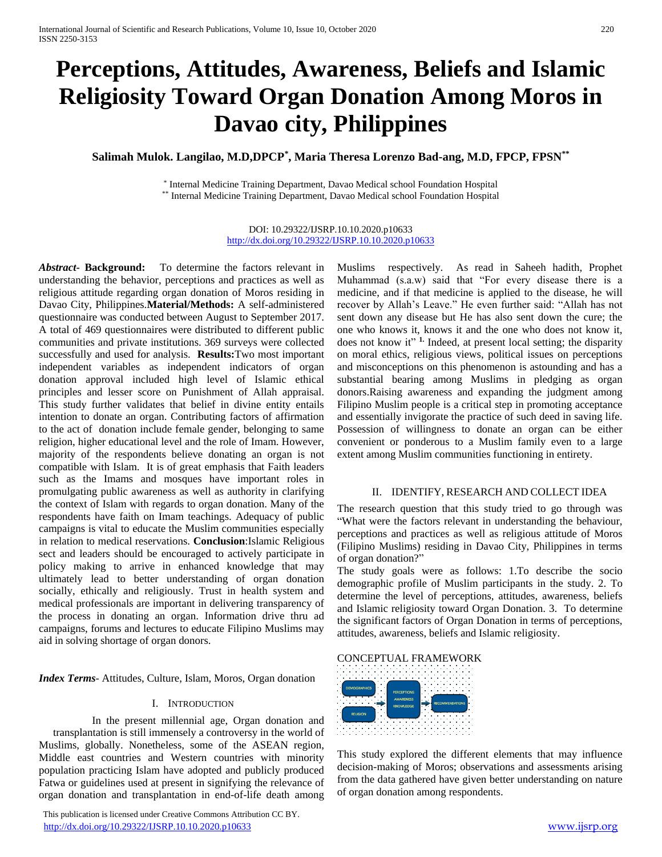# **Perceptions, Attitudes, Awareness, Beliefs and Islamic Religiosity Toward Organ Donation Among Moros in Davao city, Philippines**

# **Salimah Mulok. Langilao, M.D,DPCP\* , Maria Theresa Lorenzo Bad-ang, M.D, FPCP, FPSN\*\***

\* Internal Medicine Training Department, Davao Medical school Foundation Hospital \*\* Internal Medicine Training Department, Davao Medical school Foundation Hospital

> DOI: 10.29322/IJSRP.10.10.2020.p10633 <http://dx.doi.org/10.29322/IJSRP.10.10.2020.p10633>

*Abstract***- Background:** To determine the factors relevant in understanding the behavior, perceptions and practices as well as religious attitude regarding organ donation of Moros residing in Davao City, Philippines.**Material/Methods:** A self-administered questionnaire was conducted between August to September 2017. A total of 469 questionnaires were distributed to different public communities and private institutions. 369 surveys were collected successfully and used for analysis. **Results:**Two most important independent variables as independent indicators of organ donation approval included high level of Islamic ethical principles and lesser score on Punishment of Allah appraisal. This study further validates that belief in divine entity entails intention to donate an organ. Contributing factors of affirmation to the act of donation include female gender, belonging to same religion, higher educational level and the role of Imam. However, majority of the respondents believe donating an organ is not compatible with Islam. It is of great emphasis that Faith leaders such as the Imams and mosques have important roles in promulgating public awareness as well as authority in clarifying the context of Islam with regards to organ donation. Many of the respondents have faith on Imam teachings. Adequacy of public campaigns is vital to educate the Muslim communities especially in relation to medical reservations. **Conclusion**:Islamic Religious sect and leaders should be encouraged to actively participate in policy making to arrive in enhanced knowledge that may ultimately lead to better understanding of organ donation socially, ethically and religiously. Trust in health system and medical professionals are important in delivering transparency of the process in donating an organ. Information drive thru ad campaigns, forums and lectures to educate Filipino Muslims may aid in solving shortage of organ donors.

*Index Terms*- Attitudes, Culture, Islam, Moros, Organ donation

#### I. INTRODUCTION

In the present millennial age, Organ donation and transplantation is still immensely a controversy in the world of Muslims, globally. Nonetheless, some of the ASEAN region, Middle east countries and Western countries with minority population practicing Islam have adopted and publicly produced Fatwa or guidelines used at present in signifying the relevance of organ donation and transplantation in end-of-life death among

 This publication is licensed under Creative Commons Attribution CC BY. <http://dx.doi.org/10.29322/IJSRP.10.10.2020.p10633> [www.ijsrp.org](http://ijsrp.org/)

Muslims respectively. As read in Saheeh hadith, Prophet Muhammad (s.a.w) said that "For every disease there is a medicine, and if that medicine is applied to the disease, he will recover by Allah's Leave." He even further said: "Allah has not sent down any disease but He has also sent down the cure; the one who knows it, knows it and the one who does not know it, does not know it" **1.** Indeed, at present local setting; the disparity on moral ethics, religious views, political issues on perceptions and misconceptions on this phenomenon is astounding and has a substantial bearing among Muslims in pledging as organ donors.Raising awareness and expanding the judgment among Filipino Muslim people is a critical step in promoting acceptance and essentially invigorate the practice of such deed in saving life. Possession of willingness to donate an organ can be either convenient or ponderous to a Muslim family even to a large extent among Muslim communities functioning in entirety.

#### II. IDENTIFY, RESEARCH AND COLLECT IDEA

The research question that this study tried to go through was "What were the factors relevant in understanding the behaviour, perceptions and practices as well as religious attitude of Moros (Filipino Muslims) residing in Davao City, Philippines in terms of organ donation?"

The study goals were as follows: 1.To describe the socio demographic profile of Muslim participants in the study. 2. To determine the level of perceptions, attitudes, awareness, beliefs and Islamic religiosity toward Organ Donation. 3. To determine the significant factors of Organ Donation in terms of perceptions, attitudes, awareness, beliefs and Islamic religiosity.





This study explored the different elements that may influence decision-making of Moros; observations and assessments arising from the data gathered have given better understanding on nature of organ donation among respondents.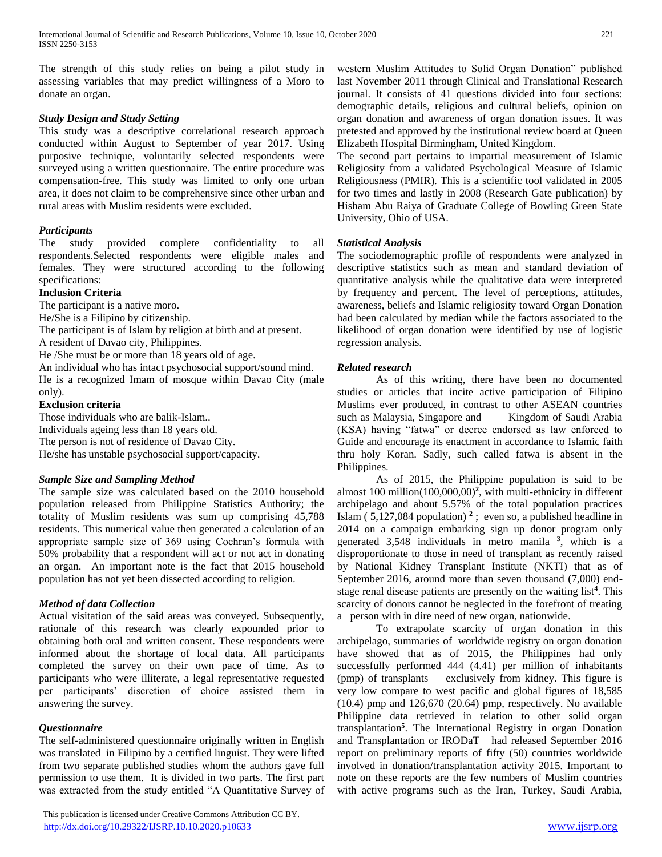The strength of this study relies on being a pilot study in assessing variables that may predict willingness of a Moro to donate an organ.

# *Study Design and Study Setting*

This study was a descriptive correlational research approach conducted within August to September of year 2017. Using purposive technique, voluntarily selected respondents were surveyed using a written questionnaire. The entire procedure was compensation-free. This study was limited to only one urban area, it does not claim to be comprehensive since other urban and rural areas with Muslim residents were excluded.

# *Participants*

The study provided complete confidentiality to all respondents.Selected respondents were eligible males and females. They were structured according to the following specifications:

# **Inclusion Criteria**

The participant is a native moro.

He/She is a Filipino by citizenship.

The participant is of Islam by religion at birth and at present.

A resident of Davao city, Philippines.

He /She must be or more than 18 years old of age.

An individual who has intact psychosocial support/sound mind. He is a recognized Imam of mosque within Davao City (male only).

# **Exclusion criteria**

Those individuals who are balik-Islam.. Individuals ageing less than 18 years old. The person is not of residence of Davao City. He/she has unstable psychosocial support/capacity.

# *Sample Size and Sampling Method*

The sample size was calculated based on the 2010 household population released from Philippine Statistics Authority; the totality of Muslim residents was sum up comprising 45,788 residents. This numerical value then generated a calculation of an appropriate sample size of 369 using Cochran's formula with 50% probability that a respondent will act or not act in donating an organ. An important note is the fact that 2015 household population has not yet been dissected according to religion.

# *Method of data Collection*

Actual visitation of the said areas was conveyed. Subsequently, rationale of this research was clearly expounded prior to obtaining both oral and written consent. These respondents were informed about the shortage of local data. All participants completed the survey on their own pace of time. As to participants who were illiterate, a legal representative requested per participants' discretion of choice assisted them in answering the survey.

# *Questionnaire*

The self-administered questionnaire originally written in English was translated in Filipino by a certified linguist. They were lifted from two separate published studies whom the authors gave full permission to use them. It is divided in two parts. The first part was extracted from the study entitled "A Quantitative Survey of

 This publication is licensed under Creative Commons Attribution CC BY. <http://dx.doi.org/10.29322/IJSRP.10.10.2020.p10633> [www.ijsrp.org](http://ijsrp.org/)

western Muslim Attitudes to Solid Organ Donation" published last November 2011 through Clinical and Translational Research journal. It consists of 41 questions divided into four sections: demographic details, religious and cultural beliefs, opinion on organ donation and awareness of organ donation issues. It was pretested and approved by the institutional review board at Queen Elizabeth Hospital Birmingham, United Kingdom.

The second part pertains to impartial measurement of Islamic Religiosity from a validated Psychological Measure of Islamic Religiousness (PMIR). This is a scientific tool validated in 2005 for two times and lastly in 2008 (Research Gate publication) by Hisham Abu Raiya of Graduate College of Bowling Green State University, Ohio of USA.

# *Statistical Analysis*

The sociodemographic profile of respondents were analyzed in descriptive statistics such as mean and standard deviation of quantitative analysis while the qualitative data were interpreted by frequency and percent. The level of perceptions, attitudes, awareness, beliefs and Islamic religiosity toward Organ Donation had been calculated by median while the factors associated to the likelihood of organ donation were identified by use of logistic regression analysis.

# *Related research*

As of this writing, there have been no documented studies or articles that incite active participation of Filipino Muslims ever produced, in contrast to other ASEAN countries such as Malaysia, Singapore and Kingdom of Saudi Arabia (KSA) having "fatwa" or decree endorsed as law enforced to Guide and encourage its enactment in accordance to Islamic faith thru holy Koran. Sadly, such called fatwa is absent in the Philippines.

As of 2015, the Philippine population is said to be almost 100 million(100,000,00)**<sup>2</sup>** , with multi-ethnicity in different archipelago and about 5.57% of the total population practices Islam  $(5,127,084$  population)<sup>2</sup>; even so, a published headline in 2014 on a campaign embarking sign up donor program only generated 3,548 individuals in metro manila **<sup>3</sup>** , which is a disproportionate to those in need of transplant as recently raised by National Kidney Transplant Institute (NKTI) that as of September 2016, around more than seven thousand (7,000) endstage renal disease patients are presently on the waiting list**<sup>4</sup>** . This scarcity of donors cannot be neglected in the forefront of treating a person with in dire need of new organ, nationwide.

To extrapolate scarcity of organ donation in this archipelago, summaries of worldwide registry on organ donation have showed that as of 2015, the Philippines had only successfully performed 444 (4.41) per million of inhabitants (pmp) of transplants exclusively from kidney. This figure is very low compare to west pacific and global figures of 18,585 (10.4) pmp and 126,670 (20.64) pmp, respectively. No available Philippine data retrieved in relation to other solid organ transplantation**<sup>5</sup>** . The International Registry in organ Donation and Transplantation or IRODaT had released September 2016 report on preliminary reports of fifty (50) countries worldwide involved in donation/transplantation activity 2015. Important to note on these reports are the few numbers of Muslim countries with active programs such as the Iran, Turkey, Saudi Arabia,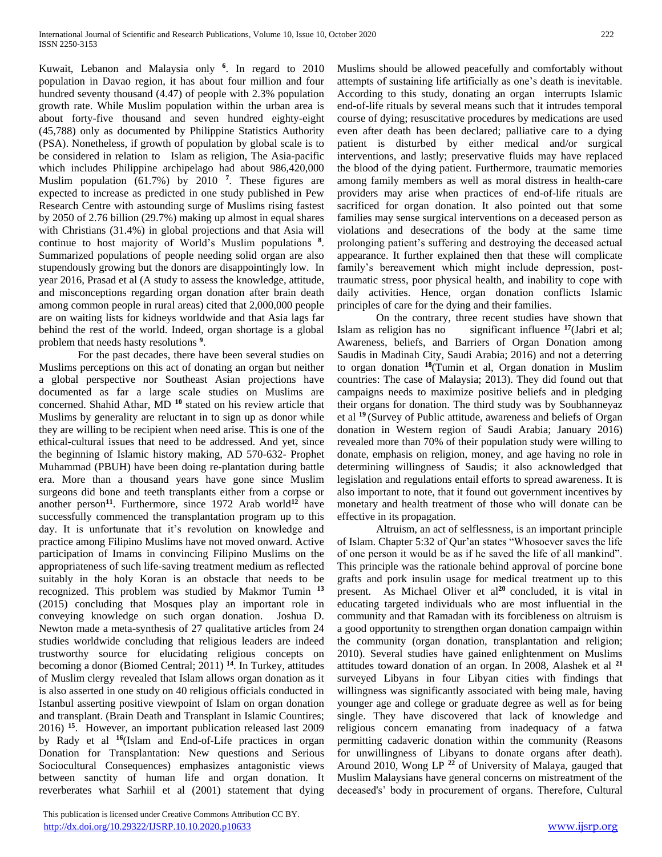Kuwait, Lebanon and Malaysia only **<sup>6</sup>** . In regard to 2010 population in Davao region, it has about four million and four hundred seventy thousand (4.47) of people with 2.3% population growth rate. While Muslim population within the urban area is about forty-five thousand and seven hundred eighty-eight (45,788) only as documented by Philippine Statistics Authority (PSA). Nonetheless, if growth of population by global scale is to be considered in relation to Islam as religion, The Asia-pacific which includes Philippine archipelago had about 986,420,000 Muslim population (61.7%) by 2010 **<sup>7</sup>** . These figures are expected to increase as predicted in one study published in Pew Research Centre with astounding surge of Muslims rising fastest by 2050 of 2.76 billion (29.7%) making up almost in equal shares with Christians (31.4%) in global projections and that Asia will continue to host majority of World's Muslim populations **<sup>8</sup>** . Summarized populations of people needing solid organ are also stupendously growing but the donors are disappointingly low. In year 2016, Prasad et al (A study to assess the knowledge, attitude, and misconceptions regarding organ donation after brain death among common people in rural areas) cited that 2,000,000 people are on waiting lists for kidneys worldwide and that Asia lags far behind the rest of the world. Indeed, organ shortage is a global problem that needs hasty resolutions **<sup>9</sup>** .

For the past decades, there have been several studies on Muslims perceptions on this act of donating an organ but neither a global perspective nor Southeast Asian projections have documented as far a large scale studies on Muslims are concerned. Shahid Athar, MD **<sup>10</sup>** stated on his review article that Muslims by generality are reluctant in to sign up as donor while they are willing to be recipient when need arise. This is one of the ethical-cultural issues that need to be addressed. And yet, since the beginning of Islamic history making, AD 570-632- Prophet Muhammad (PBUH) have been doing re-plantation during battle era. More than a thousand years have gone since Muslim surgeons did bone and teeth transplants either from a corpse or another person**<sup>11</sup>**. Furthermore, since 1972 Arab world**<sup>12</sup>** have successfully commenced the transplantation program up to this day. It is unfortunate that it's revolution on knowledge and practice among Filipino Muslims have not moved onward. Active participation of Imams in convincing Filipino Muslims on the appropriateness of such life-saving treatment medium as reflected suitably in the holy Koran is an obstacle that needs to be recognized. This problem was studied by Makmor Tumin **<sup>13</sup>** (2015) concluding that Mosques play an important role in conveying knowledge on such organ donation. Joshua D. Newton made a meta-synthesis of 27 qualitative articles from 24 studies worldwide concluding that religious leaders are indeed trustworthy source for elucidating religious concepts on becoming a donor (Biomed Central; 2011) **<sup>14</sup>**. In Turkey, attitudes of Muslim clergy revealed that Islam allows organ donation as it is also asserted in one study on 40 religious officials conducted in Istanbul asserting positive viewpoint of Islam on organ donation and transplant. (Brain Death and Transplant in Islamic Countires; 2016) **<sup>15</sup>**. However, an important publication released last 2009 by Rady et al **<sup>16</sup>**(Islam and End-of-Life practices in organ Donation for Transplantation: New questions and Serious Sociocultural Consequences) emphasizes antagonistic views between sanctity of human life and organ donation. It reverberates what Sarhiil et al (2001) statement that dying

 This publication is licensed under Creative Commons Attribution CC BY. <http://dx.doi.org/10.29322/IJSRP.10.10.2020.p10633> [www.ijsrp.org](http://ijsrp.org/)

Muslims should be allowed peacefully and comfortably without attempts of sustaining life artificially as one's death is inevitable. According to this study, donating an organ interrupts Islamic end-of-life rituals by several means such that it intrudes temporal course of dying; resuscitative procedures by medications are used even after death has been declared; palliative care to a dying patient is disturbed by either medical and/or surgical interventions, and lastly; preservative fluids may have replaced the blood of the dying patient. Furthermore, traumatic memories among family members as well as moral distress in health-care providers may arise when practices of end-of-life rituals are sacrificed for organ donation. It also pointed out that some families may sense surgical interventions on a deceased person as violations and desecrations of the body at the same time prolonging patient's suffering and destroying the deceased actual appearance. It further explained then that these will complicate family's bereavement which might include depression, posttraumatic stress, poor physical health, and inability to cope with daily activities. Hence, organ donation conflicts Islamic principles of care for the dying and their families.

On the contrary, three recent studies have shown that Islam as religion has no significant influence **<sup>17</sup>**(Jabri et al; Awareness, beliefs, and Barriers of Organ Donation among Saudis in Madinah City, Saudi Arabia; 2016) and not a deterring to organ donation **<sup>18</sup>**(Tumin et al, Organ donation in Muslim countries: The case of Malaysia; 2013). They did found out that campaigns needs to maximize positive beliefs and in pledging their organs for donation. The third study was by Soubhanneyaz et al **<sup>19</sup>**(Survey of Public attitude, awareness and beliefs of Organ donation in Western region of Saudi Arabia; January 2016) revealed more than 70% of their population study were willing to donate, emphasis on religion, money, and age having no role in determining willingness of Saudis; it also acknowledged that legislation and regulations entail efforts to spread awareness. It is also important to note, that it found out government incentives by monetary and health treatment of those who will donate can be effective in its propagation.

Altruism, an act of selflessness, is an important principle of Islam. Chapter 5:32 of Qur'an states "Whosoever saves the life of one person it would be as if he saved the life of all mankind". This principle was the rationale behind approval of porcine bone grafts and pork insulin usage for medical treatment up to this present. As Michael Oliver et al<sup>20</sup> concluded, it is vital in educating targeted individuals who are most influential in the community and that Ramadan with its forcibleness on altruism is a good opportunity to strengthen organ donation campaign within the community (organ donation, transplantation and religion; 2010). Several studies have gained enlightenment on Muslims attitudes toward donation of an organ. In 2008, Alashek et al **<sup>21</sup>** surveyed Libyans in four Libyan cities with findings that willingness was significantly associated with being male, having younger age and college or graduate degree as well as for being single. They have discovered that lack of knowledge and religious concern emanating from inadequacy of a fatwa permitting cadaveric donation within the community (Reasons for unwillingness of Libyans to donate organs after death). Around 2010, Wong LP **<sup>22</sup>** of University of Malaya, gauged that Muslim Malaysians have general concerns on mistreatment of the deceased's' body in procurement of organs. Therefore, Cultural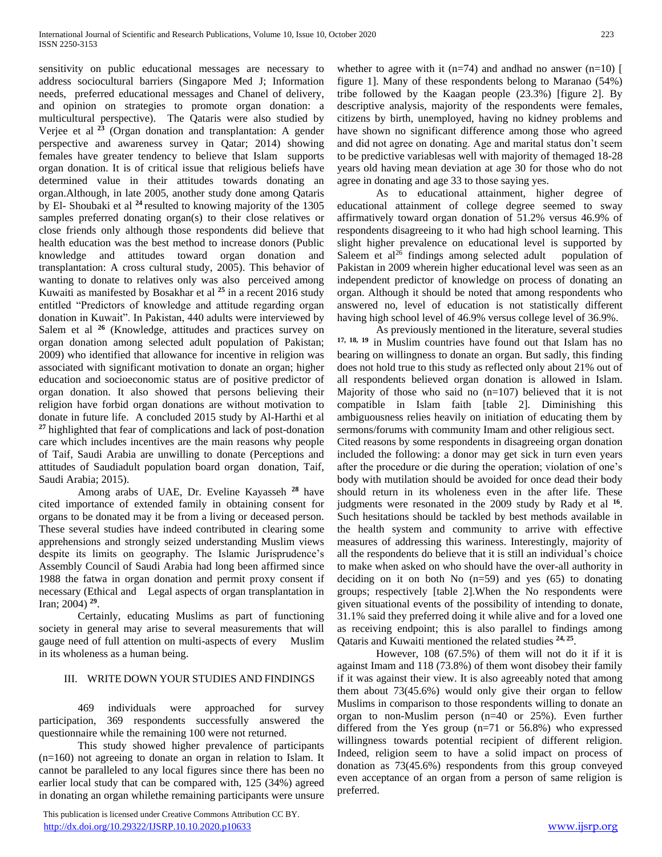sensitivity on public educational messages are necessary to address sociocultural barriers (Singapore Med J; Information needs, preferred educational messages and Chanel of delivery, and opinion on strategies to promote organ donation: a multicultural perspective). The Qataris were also studied by Verjee et al **<sup>23</sup>** (Organ donation and transplantation: A gender perspective and awareness survey in Qatar; 2014) showing females have greater tendency to believe that Islam supports organ donation. It is of critical issue that religious beliefs have determined value in their attitudes towards donating an organ.Although, in late 2005, another study done among Qataris by El- Shoubaki et al **<sup>24</sup>**resulted to knowing majority of the 1305 samples preferred donating organ(s) to their close relatives or close friends only although those respondents did believe that health education was the best method to increase donors (Public knowledge and attitudes toward organ donation and transplantation: A cross cultural study, 2005). This behavior of wanting to donate to relatives only was also perceived among Kuwaiti as manifested by Bosakhar et al **<sup>25</sup>** in a recent 2016 study entitled "Predictors of knowledge and attitude regarding organ donation in Kuwait". In Pakistan, 440 adults were interviewed by Salem et al <sup>26</sup> (Knowledge, attitudes and practices survey on organ donation among selected adult population of Pakistan; 2009) who identified that allowance for incentive in religion was associated with significant motivation to donate an organ; higher education and socioeconomic status are of positive predictor of organ donation. It also showed that persons believing their religion have forbid organ donations are without motivation to donate in future life. A concluded 2015 study by Al-Harthi et al **<sup>27</sup>** highlighted that fear of complications and lack of post-donation care which includes incentives are the main reasons why people of Taif, Saudi Arabia are unwilling to donate (Perceptions and attitudes of Saudiadult population board organ donation, Taif, Saudi Arabia; 2015).

Among arabs of UAE, Dr. Eveline Kayasseh **<sup>28</sup>** have cited importance of extended family in obtaining consent for organs to be donated may it be from a living or deceased person. These several studies have indeed contributed in clearing some apprehensions and strongly seized understanding Muslim views despite its limits on geography. The Islamic Jurisprudence's Assembly Council of Saudi Arabia had long been affirmed since 1988 the fatwa in organ donation and permit proxy consent if necessary (Ethical and Legal aspects of organ transplantation in Iran; 2004) **<sup>29</sup>** .

Certainly, educating Muslims as part of functioning society in general may arise to several measurements that will gauge need of full attention on multi-aspects of every Muslim in its wholeness as a human being.

## III. WRITE DOWN YOUR STUDIES AND FINDINGS

469 individuals were approached for survey participation, 369 respondents successfully answered the questionnaire while the remaining 100 were not returned.

This study showed higher prevalence of participants (n=160) not agreeing to donate an organ in relation to Islam. It cannot be paralleled to any local figures since there has been no earlier local study that can be compared with, 125 (34%) agreed in donating an organ whilethe remaining participants were unsure

 This publication is licensed under Creative Commons Attribution CC BY. <http://dx.doi.org/10.29322/IJSRP.10.10.2020.p10633> [www.ijsrp.org](http://ijsrp.org/)

whether to agree with it ( $n=74$ ) and andhad no answer ( $n=10$ ) [ figure 1]. Many of these respondents belong to Maranao (54%) tribe followed by the Kaagan people (23.3%) [figure 2]. By descriptive analysis, majority of the respondents were females, citizens by birth, unemployed, having no kidney problems and have shown no significant difference among those who agreed and did not agree on donating. Age and marital status don't seem to be predictive variablesas well with majority of themaged 18-28 years old having mean deviation at age 30 for those who do not agree in donating and age 33 to those saying yes.

As to educational attainment, higher degree of educational attainment of college degree seemed to sway affirmatively toward organ donation of 51.2% versus 46.9% of respondents disagreeing to it who had high school learning. This slight higher prevalence on educational level is supported by Saleem et  $al^{26}$  findings among selected adult population of Pakistan in 2009 wherein higher educational level was seen as an independent predictor of knowledge on process of donating an organ. Although it should be noted that among respondents who answered no, level of education is not statistically different having high school level of 46.9% versus college level of 36.9%.

As previously mentioned in the literature, several studies **17, 18, 19** in Muslim countries have found out that Islam has no bearing on willingness to donate an organ. But sadly, this finding does not hold true to this study as reflected only about 21% out of all respondents believed organ donation is allowed in Islam. Majority of those who said no  $(n=107)$  believed that it is not compatible in Islam faith [table 2]. Diminishing this ambiguousness relies heavily on initiation of educating them by sermons/forums with community Imam and other religious sect.

Cited reasons by some respondents in disagreeing organ donation included the following: a donor may get sick in turn even years after the procedure or die during the operation; violation of one's body with mutilation should be avoided for once dead their body should return in its wholeness even in the after life. These judgments were resonated in the 2009 study by Rady et al **<sup>16</sup>** . Such hesitations should be tackled by best methods available in the health system and community to arrive with effective measures of addressing this wariness. Interestingly, majority of all the respondents do believe that it is still an individual's choice to make when asked on who should have the over-all authority in deciding on it on both No  $(n=59)$  and yes  $(65)$  to donating groups; respectively [table 2].When the No respondents were given situational events of the possibility of intending to donate, 31.1% said they preferred doing it while alive and for a loved one as receiving endpoint; this is also parallel to findings among Qataris and Kuwaiti mentioned the related studies **24, 25** .

However, 108 (67.5%) of them will not do it if it is against Imam and 118 (73.8%) of them wont disobey their family if it was against their view. It is also agreeably noted that among them about 73(45.6%) would only give their organ to fellow Muslims in comparison to those respondents willing to donate an organ to non-Muslim person (n=40 or 25%). Even further differed from the Yes group  $(n=71 \text{ or } 56.8\%)$  who expressed willingness towards potential recipient of different religion. Indeed, religion seem to have a solid impact on process of donation as 73(45.6%) respondents from this group conveyed even acceptance of an organ from a person of same religion is preferred.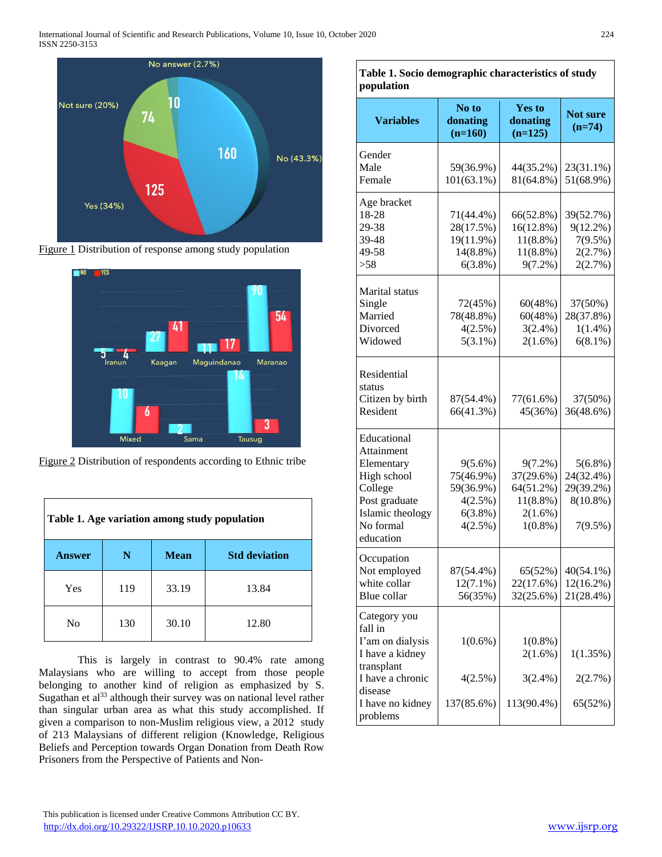

Figure 1 Distribution of response among study population





| Table 1. Age variation among study population             |     |       |       |  |  |
|-----------------------------------------------------------|-----|-------|-------|--|--|
| <b>Std deviation</b><br><b>Answer</b><br><b>Mean</b><br>N |     |       |       |  |  |
| Yes                                                       | 119 | 33.19 | 13.84 |  |  |
| N <sub>0</sub>                                            | 130 | 30.10 | 12.80 |  |  |

This is largely in contrast to 90.4% rate among Malaysians who are willing to accept from those people belonging to another kind of religion as emphasized by S. Sugathan et al<sup>33</sup> although their survey was on national level rather than singular urban area as what this study accomplished. If given a comparison to non-Muslim religious view, a 2012 study of 213 Malaysians of different religion (Knowledge, Religious Beliefs and Perception towards Organ Donation from Death Row Prisoners from the Perspective of Patients and Non-

| population                                                                                                                                  |                                                                          |                                                                                 |                                                                |  |  |
|---------------------------------------------------------------------------------------------------------------------------------------------|--------------------------------------------------------------------------|---------------------------------------------------------------------------------|----------------------------------------------------------------|--|--|
| <b>Variables</b>                                                                                                                            | No to<br>donating<br>$(n=160)$                                           | <b>Yes to</b><br>donating<br>$(n=125)$                                          | <b>Not sure</b><br>$(n=74)$                                    |  |  |
| Gender<br>Male<br>Female                                                                                                                    | 59(36.9%)<br>101(63.1%)                                                  | 44(35.2%)<br>81(64.8%)                                                          | 23(31.1%)<br>51(68.9%)                                         |  |  |
| Age bracket<br>18-28<br>29-38<br>39-48<br>49-58<br>>58                                                                                      | 71(44.4%)<br>28(17.5%)<br>19(11.9%)<br>14(8.8%)<br>$6(3.8\%)$            | 66(52.8%)<br>16(12.8%)<br>$11(8.8\%)$<br>$11(8.8\%)$<br>$9(7.2\%)$              | 39(52.7%)<br>$9(12.2\%)$<br>7(9.5%)<br>2(2.7%)<br>2(2.7%)      |  |  |
| Marital status<br>Single<br>Married<br>Divorced<br>Widowed                                                                                  | 72(45%)<br>78(48.8%)<br>4(2.5%)<br>$5(3.1\%)$                            | 60(48%)<br>60(48%)<br>$3(2.4\%)$<br>$2(1.6\%)$                                  | 37(50%)<br>28(37.8%)<br>$1(1.4\%)$<br>$6(8.1\%)$               |  |  |
| Residential<br>status<br>Citizen by birth<br>Resident                                                                                       | 87(54.4%)<br>66(41.3%)                                                   | 77(61.6%)<br>45(36%)                                                            | 37(50%)<br>36(48.6%)                                           |  |  |
| Educational<br>Attainment<br>Elementary<br>High school<br>College<br>Post graduate<br>Islamic theology<br>No formal<br>education            | $9(5.6\%)$<br>75(46.9%)<br>59(36.9%)<br>4(2.5%)<br>$6(3.8\%)$<br>4(2.5%) | $9(7.2\%)$<br>37(29.6%)<br>64(51.2%)<br>$11(8.8\%)$<br>$2(1.6\%)$<br>$1(0.8\%)$ | $5(6.8\%)$<br>24(32.4%)<br>29(39.2%)<br>$8(10.8\%)$<br>7(9.5%) |  |  |
| Occupation<br>Not employed<br>white collar<br>Blue collar                                                                                   | 87(54.4%)<br>$12(7.1\%)$<br>56(35%)                                      | 65(52%)<br>22(17.6%)<br>32(25.6%)                                               | 40(54.1%)<br>$12(16.2\%)$<br>21(28.4%)                         |  |  |
| Category you<br>fall in<br>I'am on dialysis<br>I have a kidney<br>transplant<br>I have a chronic<br>disease<br>I have no kidney<br>problems | $1(0.6\%)$<br>4(2.5%)<br>137(85.6%)                                      | $1(0.8\%)$<br>2(1.6%)<br>$3(2.4\%)$<br>113(90.4%)                               | 1(1.35%)<br>2(2.7%)<br>65(52%)                                 |  |  |

**Table 1. Socio demographic characteristics of study** 

 This publication is licensed under Creative Commons Attribution CC BY. <http://dx.doi.org/10.29322/IJSRP.10.10.2020.p10633> [www.ijsrp.org](http://ijsrp.org/)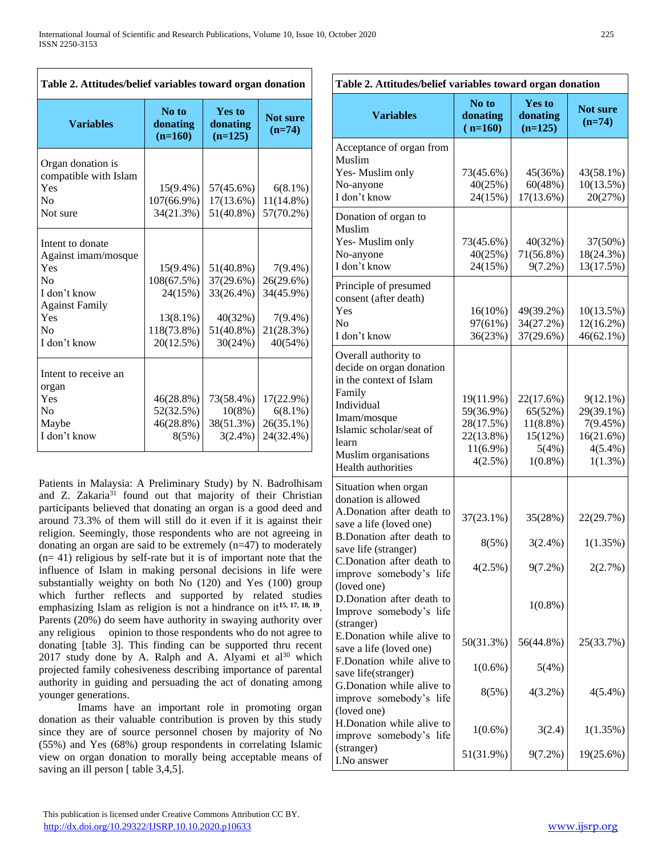# **Table 2. Attitudes/belief variables toward organ donation**

| <b>Variables</b>      | No to<br>donating<br>$(n=160)$ | <b>Yes to</b><br>donating<br>$(n=125)$ | <b>Not sure</b><br>$(n=74)$ |  |
|-----------------------|--------------------------------|----------------------------------------|-----------------------------|--|
| Organ donation is     |                                |                                        |                             |  |
| compatible with Islam |                                |                                        |                             |  |
| Yes                   | $15(9.4\%)$                    | 57(45.6%)                              | $6(8.1\%)$                  |  |
| N <sub>0</sub>        | 107(66.9%)                     | 17(13.6%)                              | 11(14.8%)                   |  |
| Not sure              | 34(21.3%)                      | 51(40.8%)                              | 57(70.2%)                   |  |
| Intent to donate      |                                |                                        |                             |  |
| Against imam/mosque   |                                |                                        |                             |  |
| Yes                   | $15(9.4\%)$                    | 51(40.8%)                              | $7(9.4\%)$                  |  |
| No                    | 108(67.5%)                     | 37(29.6%)                              | 26(29.6%)                   |  |
| I don't know          | 24(15%)                        | 33(26.4%)                              | 34(45.9%)                   |  |
| <b>Against Family</b> |                                |                                        |                             |  |
| Yes                   | $13(8.1\%)$                    | 40(32%)                                | $7(9.4\%)$                  |  |
| N <sub>0</sub>        | 118(73.8%)                     | $51(40.8\%)$                           | 21(28.3%)                   |  |
| I don't know          | 20(12.5%)                      | 30(24%)                                | 40(54%)                     |  |
|                       |                                |                                        |                             |  |
| Intent to receive an  |                                |                                        |                             |  |
| organ                 |                                |                                        |                             |  |
| Yes                   | $46(28.8\%)$                   | 73(58.4%)                              | 17(22.9%)                   |  |
| N <sub>0</sub>        | 52(32.5%)                      | 10(8%)                                 | $6(8.1\%)$                  |  |
| Maybe                 | 46(28.8%)                      | 38(51.3%)                              | 26(35.1%)                   |  |
| I don't know          | 8(5%)                          | $3(2.4\%)$                             | 24(32.4%)                   |  |

Patients in Malaysia: A Preliminary Study) by N. Badrolhisam and Z. Zakaria<sup>31</sup> found out that majority of their Christian participants believed that donating an organ is a good deed and around 73.3% of them will still do it even if it is against their religion. Seemingly, those respondents who are not agreeing in donating an organ are said to be extremely (n=47) to moderately  $(n= 41)$  religious by self-rate but it is of important note that the influence of Islam in making personal decisions in life were substantially weighty on both No (120) and Yes (100) group which further reflects and supported by related studies emphasizing Islam as religion is not a hindrance on it<sup>15, 17, 18, 19</sup>. Parents (20%) do seem have authority in swaying authority over any religious opinion to those respondents who do not agree to donating [table 3]. This finding can be supported thru recent  $2017$  study done by A. Ralph and A. Alyami et al<sup>30</sup> which projected family cohesiveness describing importance of parental authority in guiding and persuading the act of donating among younger generations.

Imams have an important role in promoting organ donation as their valuable contribution is proven by this study since they are of source personnel chosen by majority of No (55%) and Yes (68%) group respondents in correlating Islamic view on organ donation to morally being acceptable means of saving an ill person [ table 3,4,5].

| Table 2. Attitudes/belief variables toward organ donation |                                |                                        |                             |  |  |
|-----------------------------------------------------------|--------------------------------|----------------------------------------|-----------------------------|--|--|
| <b>Variables</b>                                          | No to<br>donating<br>$(n=160)$ | <b>Yes to</b><br>donating<br>$(n=125)$ | <b>Not sure</b><br>$(n=74)$ |  |  |
| Acceptance of organ from                                  |                                |                                        |                             |  |  |
| Muslim                                                    |                                |                                        |                             |  |  |
| Yes-Muslim only                                           | 73(45.6%)                      | 45(36%)                                | 43(58.1%)                   |  |  |
| No-anyone                                                 | 40(25%)                        | 60(48%)                                | $10(13.5\%)$                |  |  |
| I don't know                                              | 24(15%)                        | $17(13.6\%)$                           | 20(27%)                     |  |  |
| Donation of organ to                                      |                                |                                        |                             |  |  |
| Muslim                                                    |                                |                                        |                             |  |  |
| Yes-Muslim only                                           | 73(45.6%)                      | 40(32%)                                | 37(50%)                     |  |  |
| No-anyone                                                 | 40(25%)                        | 71(56.8%)                              | 18(24.3%)                   |  |  |
| I don't know                                              | 24(15%)                        | $9(7.2\%)$                             | 13(17.5%)                   |  |  |
| Principle of presumed                                     |                                |                                        |                             |  |  |
| consent (after death)                                     |                                |                                        |                             |  |  |
| Yes                                                       | $16(10\%)$                     | 49(39.2%)                              | 10(13.5%)                   |  |  |
| No                                                        | 97(61%)                        | 34(27.2%)                              | $12(16.2\%)$                |  |  |
| I don't know                                              | 36(23%)                        | 37(29.6%)                              | $46(62.1\%)$                |  |  |
| Overall authority to                                      |                                |                                        |                             |  |  |
| decide on organ donation                                  |                                |                                        |                             |  |  |
| in the context of Islam                                   |                                |                                        |                             |  |  |
| Family                                                    | 19(11.9%)                      | 22(17.6%)                              | $9(12.1\%)$                 |  |  |
| Individual                                                | 59(36.9%)                      | 65(52%)                                | 29(39.1%)                   |  |  |
| Imam/mosque                                               | 28(17.5%)                      | $11(8.8\%)$                            | 7(9.45%)                    |  |  |
| Islamic scholar/seat of                                   | 22(13.8%)                      | 15(12%)                                | 16(21.6%)                   |  |  |
| learn                                                     | $11(6.9\%)$                    | 5(4%)                                  | $4(5.4\%)$                  |  |  |
| Muslim organisations                                      | 4(2.5%)                        | $1(0.8\%)$                             | 1(1.3%)                     |  |  |
| Health authorities                                        |                                |                                        |                             |  |  |
| Situation when organ                                      |                                |                                        |                             |  |  |
| donation is allowed                                       |                                |                                        |                             |  |  |
| A.Donation after death to                                 | $37(23.1\%)$                   | 35(28%)                                | 22(29.7%)                   |  |  |
| save a life (loved one)                                   |                                |                                        |                             |  |  |
| B.Donation after death to                                 | 8(5%)                          | $3(2.4\%)$                             | 1(1.35%)                    |  |  |
| save life (stranger)                                      |                                |                                        |                             |  |  |
| C.Donation after death to                                 | 4(2.5%)                        | 9(7.2%)                                | 2(2.7%)                     |  |  |
| improve somebody's life<br>(loved one)                    |                                |                                        |                             |  |  |
| D.Donation after death to                                 |                                |                                        |                             |  |  |
| Improve somebody's life                                   |                                | $1(0.8\%)$                             |                             |  |  |
| (stranger)                                                |                                |                                        |                             |  |  |
| E.Donation while alive to                                 |                                |                                        |                             |  |  |
| save a life (loved one)                                   | 50(31.3%)                      | 56(44.8%)                              | 25(33.7%)                   |  |  |
| F.Donation while alive to                                 |                                |                                        |                             |  |  |
| save life(stranger)                                       | $1(0.6\%)$                     | 5(4%)                                  |                             |  |  |
| G. Donation while alive to                                |                                |                                        |                             |  |  |
| improve somebody's life                                   | 8(5%)                          | $4(3.2\%)$                             | $4(5.4\%)$                  |  |  |
| (loved one)                                               |                                |                                        |                             |  |  |
| H.Donation while alive to                                 |                                |                                        |                             |  |  |
| improve somebody's life                                   | $1(0.6\%)$                     | 3(2.4)                                 | 1(1.35%)                    |  |  |
| (stranger)                                                | 51(31.9%)                      | $9(7.2\%)$                             | 19(25.6%)                   |  |  |
| I.No answer                                               |                                |                                        |                             |  |  |

#### This publication is licensed under Creative Commons Attribution CC BY. <http://dx.doi.org/10.29322/IJSRP.10.10.2020.p10633> [www.ijsrp.org](http://ijsrp.org/)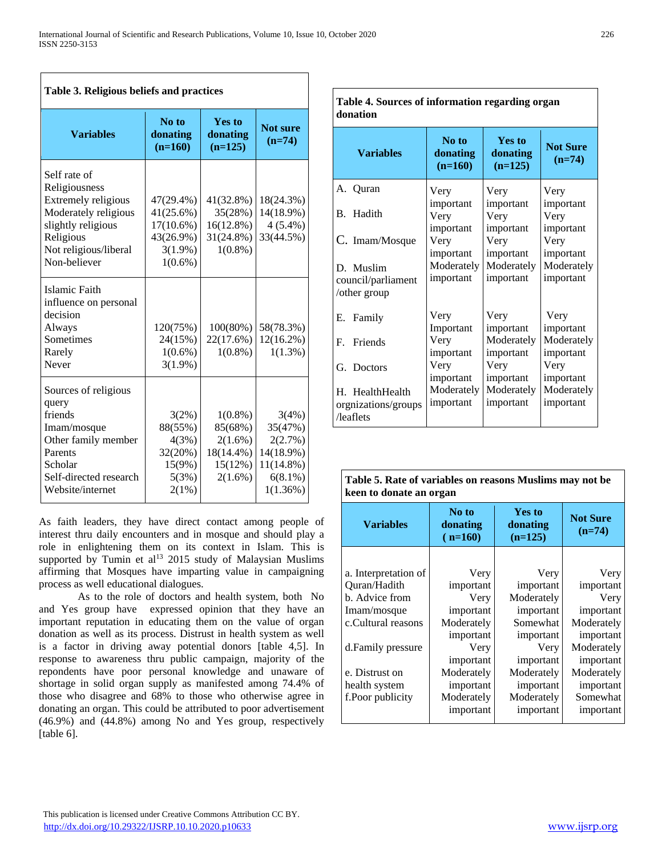| Table 3. Religious beliefs and practices                                                                                                                 |                                                                              |                                                                        |                                                                                 |  |  |
|----------------------------------------------------------------------------------------------------------------------------------------------------------|------------------------------------------------------------------------------|------------------------------------------------------------------------|---------------------------------------------------------------------------------|--|--|
| <b>Variables</b>                                                                                                                                         | No to<br>donating<br>$(n=160)$                                               | <b>Yes to</b><br>donating<br>$(n=125)$                                 | <b>Not sure</b><br>$(n=74)$                                                     |  |  |
| Self rate of<br>Religiousness<br>Extremely religious<br>Moderately religious<br>slightly religious<br>Religious<br>Not religious/liberal<br>Non-believer | 47(29.4%)<br>41(25.6%)<br>17(10.6%)<br>43(26.9%)<br>$3(1.9\%)$<br>$1(0.6\%)$ | 41(32.8%)<br>35(28%)<br>16(12.8%)<br>31(24.8%)<br>$1(0.8\%)$           | 18(24.3%)<br>14(18.9%)<br>$4(5.4\%)$<br>33(44.5%)                               |  |  |
| Islamic Faith<br>influence on personal<br>decision<br>Always<br>Sometimes<br>Rarely<br>Never                                                             | 120(75%)<br>24(15%)<br>$1(0.6\%)$<br>$3(1.9\%)$                              | 100(80%)<br>22(17.6%)<br>$1(0.8\%)$                                    | 58(78.3%)<br>$12(16.2\%)$<br>$1(1.3\%)$                                         |  |  |
| Sources of religious<br>query<br>friends<br>Imam/mosque<br>Other family member<br>Parents<br>Scholar<br>Self-directed research<br>Website/internet       | 3(2%)<br>88(55%)<br>4(3%)<br>32(20%)<br>15(9%)<br>5(3%)<br>2(1%)             | $1(0.8\%)$<br>85(68%)<br>$2(1.6\%)$<br>18(14.4%)<br>15(12%)<br>2(1.6%) | 3(4%)<br>35(47%)<br>2(2.7%)<br>14(18.9%)<br>11(14.8%)<br>$6(8.1\%)$<br>1(1.36%) |  |  |

As faith leaders, they have direct contact among people of interest thru daily encounters and in mosque and should play a role in enlightening them on its context in Islam. This is supported by Tumin et al<sup>13</sup> 2015 study of Malaysian Muslims affirming that Mosques have imparting value in campaigning process as well educational dialogues.

As to the role of doctors and health system, both No and Yes group have expressed opinion that they have an important reputation in educating them on the value of organ donation as well as its process. Distrust in health system as well is a factor in driving away potential donors [table 4,5]. In response to awareness thru public campaign, majority of the repondents have poor personal knowledge and unaware of shortage in solid organ supply as manifested among 74.4% of those who disagree and 68% to those who otherwise agree in donating an organ. This could be attributed to poor advertisement (46.9%) and (44.8%) among No and Yes group, respectively [table 6].

| a bources or mnormation regarding organ<br>donation |                                      |                                        |                                      |  |  |
|-----------------------------------------------------|--------------------------------------|----------------------------------------|--------------------------------------|--|--|
| <b>Variables</b>                                    | No to<br>donating<br>$(n=160)$       | <b>Yes to</b><br>donating<br>$(n=125)$ | <b>Not Sure</b><br>$(n=74)$          |  |  |
| A. Quran                                            | Very                                 | Very                                   | Very                                 |  |  |
| B. Hadith                                           | important<br>Very<br>important       | important<br>Very<br>important         | important<br>Very<br>important       |  |  |
| C. Imam/Mosque                                      | Very                                 | Very                                   | Very                                 |  |  |
| D. Muslim<br>council/parliament<br>/other group     | important<br>Moderately<br>important | important<br>Moderately<br>important   | important<br>Moderately<br>important |  |  |
| Family<br>Е.                                        | Very                                 | Very                                   | Very                                 |  |  |
| F. Friends                                          | Important<br>Very<br>important       | important<br>Moderately<br>important   | important<br>Moderately<br>important |  |  |
| G. Doctors                                          | Very                                 | Very                                   | Very                                 |  |  |
| H. HealthHealth<br>orgnizations/groups<br>/leaflets | important<br>Moderately<br>important | important<br>Moderately<br>important   | important<br>Moderately<br>important |  |  |

**Table 5. Rate of variables on reasons Muslims may not be keen to donate an organ**

| <b>Variables</b>     | No to<br>donating<br>$(n=160)$ | <b>Yes to</b><br>donating<br>$(n=125)$ | <b>Not Sure</b><br>$(n=74)$ |  |  |
|----------------------|--------------------------------|----------------------------------------|-----------------------------|--|--|
|                      |                                |                                        |                             |  |  |
| a. Interpretation of | Very                           | Very                                   | Very                        |  |  |
| Ouran/Hadith         | important                      | important                              | important                   |  |  |
| b. Advice from       | Very                           | Moderately                             | Very                        |  |  |
| Imam/mosque          | important                      | important                              | important                   |  |  |
| c.Cultural reasons   | Moderately                     |                                        | Moderately                  |  |  |
|                      | important                      | important                              | important                   |  |  |
| d.Family pressure    | Very                           | Very                                   | Moderately                  |  |  |
|                      | important                      | important                              | important                   |  |  |
| e. Distrust on       | Moderately                     | Moderately                             | Moderately                  |  |  |
| health system        | important                      | important                              | important                   |  |  |
| f.Poor publicity     | Moderately                     | Moderately                             | Somewhat                    |  |  |
|                      | important                      | important                              | important                   |  |  |

# **Table 4. Sources of information regarding organ**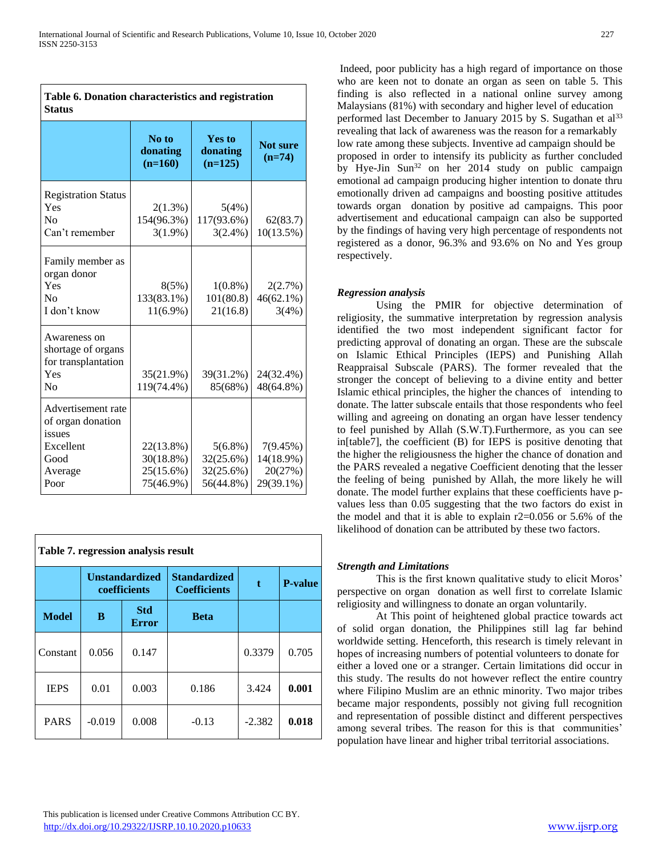| Table 6. Donation characteristics and registration<br><b>Status</b>                       |                                                  |                                                   |                                               |  |  |
|-------------------------------------------------------------------------------------------|--------------------------------------------------|---------------------------------------------------|-----------------------------------------------|--|--|
|                                                                                           | No to<br>donating<br>$(n=160)$                   | <b>Yes to</b><br>donating<br>$(n=125)$            | <b>Not sure</b><br>$(n=74)$                   |  |  |
| <b>Registration Status</b><br>Yes<br>$\rm No$<br>Can't remember                           | $2(1.3\%)$<br>154(96.3%)<br>$3(1.9\%)$           | 5(4%)<br>117(93.6%)<br>$3(2.4\%)$                 | 62(83.7)<br>$10(13.5\%)$                      |  |  |
| Family member as<br>organ donor<br>Yes<br>No<br>I don't know                              | 8(5%)<br>133(83.1%)<br>$11(6.9\%)$               | $1(0.8\%)$<br>101(80.8)<br>21(16.8)               | 2(2.7%)<br>$46(62.1\%)$<br>3(4%)              |  |  |
| Awareness on<br>shortage of organs<br>for transplantation<br>Yes<br>N <sub>0</sub>        | 35(21.9%)<br>119(74.4%)                          | 39(31.2%)<br>85(68%)                              | 24(32.4%)<br>48(64.8%)                        |  |  |
| Advertisement rate<br>of organ donation<br>issues<br>Excellent<br>Good<br>Average<br>Poor | 22(13.8%)<br>30(18.8%)<br>25(15.6%)<br>75(46.9%) | $5(6.8\%)$<br>32(25.6%)<br>32(25.6%)<br>56(44.8%) | 7(9.45%)<br>14(18.9%)<br>20(27%)<br>29(39.1%) |  |  |

| Table 7. regression analysis result |                                       |                            |                                            |          |                |  |
|-------------------------------------|---------------------------------------|----------------------------|--------------------------------------------|----------|----------------|--|
|                                     | <b>Unstandardized</b><br>coefficients |                            | <b>Standardized</b><br><b>Coefficients</b> | t.       | <b>P-value</b> |  |
| <b>Model</b>                        | B                                     | <b>Std</b><br><b>Error</b> | <b>Beta</b>                                |          |                |  |
| Constant                            | 0.056                                 | 0.147                      |                                            | 0.3379   | 0.705          |  |
| <b>IEPS</b>                         | 0.01                                  | 0.003                      | 0.186                                      | 3.424    | 0.001          |  |
| <b>PARS</b>                         | $-0.019$                              | 0.008                      | $-0.13$                                    | $-2.382$ | 0.018          |  |

Indeed, poor publicity has a high regard of importance on those who are keen not to donate an organ as seen on table 5. This finding is also reflected in a national online survey among Malaysians (81%) with secondary and higher level of education performed last December to January 2015 by S. Sugathan et al<sup>33</sup> revealing that lack of awareness was the reason for a remarkably low rate among these subjects. Inventive ad campaign should be proposed in order to intensify its publicity as further concluded by Hye-Jin Sun<sup>32</sup> on her  $2014$  study on public campaign emotional ad campaign producing higher intention to donate thru emotionally driven ad campaigns and boosting positive attitudes towards organ donation by positive ad campaigns. This poor advertisement and educational campaign can also be supported by the findings of having very high percentage of respondents not registered as a donor, 96.3% and 93.6% on No and Yes group respectively.

# *Regression analysis*

Using the PMIR for objective determination of religiosity, the summative interpretation by regression analysis identified the two most independent significant factor for predicting approval of donating an organ. These are the subscale on Islamic Ethical Principles (IEPS) and Punishing Allah Reappraisal Subscale (PARS). The former revealed that the stronger the concept of believing to a divine entity and better Islamic ethical principles, the higher the chances of intending to donate. The latter subscale entails that those respondents who feel willing and agreeing on donating an organ have lesser tendency to feel punished by Allah (S.W.T).Furthermore, as you can see in[table7], the coefficient (B) for IEPS is positive denoting that the higher the religiousness the higher the chance of donation and the PARS revealed a negative Coefficient denoting that the lesser the feeling of being punished by Allah, the more likely he will donate. The model further explains that these coefficients have pvalues less than 0.05 suggesting that the two factors do exist in the model and that it is able to explain r2=0.056 or 5.6% of the likelihood of donation can be attributed by these two factors.

## *Strength and Limitations*

This is the first known qualitative study to elicit Moros' perspective on organ donation as well first to correlate Islamic religiosity and willingness to donate an organ voluntarily.

At This point of heightened global practice towards act of solid organ donation, the Philippines still lag far behind worldwide setting. Henceforth, this research is timely relevant in hopes of increasing numbers of potential volunteers to donate for either a loved one or a stranger. Certain limitations did occur in this study. The results do not however reflect the entire country where Filipino Muslim are an ethnic minority. Two major tribes became major respondents, possibly not giving full recognition and representation of possible distinct and different perspectives among several tribes. The reason for this is that communities' population have linear and higher tribal territorial associations.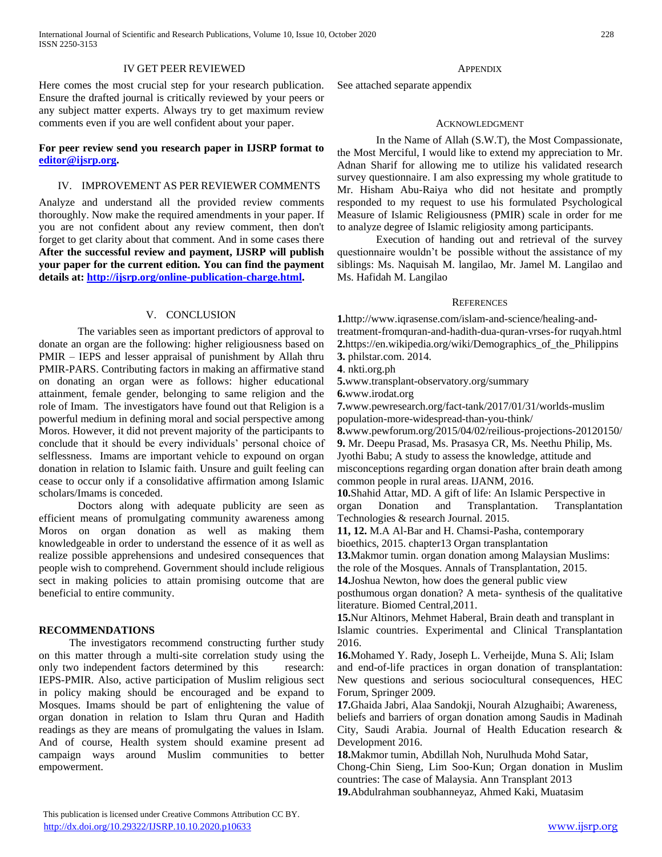International Journal of Scientific and Research Publications, Volume 10, Issue 10, October 2020 228 ISSN 2250-3153

#### IV GET PEER REVIEWED

Here comes the most crucial step for your research publication. Ensure the drafted journal is critically reviewed by your peers or any subject matter experts. Always try to get maximum review comments even if you are well confident about your paper.

## **For peer review send you research paper in IJSRP format to [editor@ijsrp.org.](mailto:editor@ijsrp.org)**

## IV. IMPROVEMENT AS PER REVIEWER COMMENTS

Analyze and understand all the provided review comments thoroughly. Now make the required amendments in your paper. If you are not confident about any review comment, then don't forget to get clarity about that comment. And in some cases there **After the successful review and payment, IJSRP will publish your paper for the current edition. You can find the payment details at: [http://ijsrp.org/online-publication-charge.html.](http://ijsrp.org/online-publication-charge.html)**

## V. CONCLUSION

The variables seen as important predictors of approval to donate an organ are the following: higher religiousness based on PMIR – IEPS and lesser appraisal of punishment by Allah thru PMIR-PARS. Contributing factors in making an affirmative stand on donating an organ were as follows: higher educational attainment, female gender, belonging to same religion and the role of Imam. The investigators have found out that Religion is a powerful medium in defining moral and social perspective among Moros. However, it did not prevent majority of the participants to conclude that it should be every individuals' personal choice of selflessness. Imams are important vehicle to expound on organ donation in relation to Islamic faith. Unsure and guilt feeling can cease to occur only if a consolidative affirmation among Islamic scholars/Imams is conceded.

Doctors along with adequate publicity are seen as efficient means of promulgating community awareness among Moros on organ donation as well as making them knowledgeable in order to understand the essence of it as well as realize possible apprehensions and undesired consequences that people wish to comprehend. Government should include religious sect in making policies to attain promising outcome that are beneficial to entire community.

#### **RECOMMENDATIONS**

The investigators recommend constructing further study on this matter through a multi-site correlation study using the only two independent factors determined by this research: IEPS-PMIR. Also, active participation of Muslim religious sect in policy making should be encouraged and be expand to Mosques. Imams should be part of enlightening the value of organ donation in relation to Islam thru Quran and Hadith readings as they are means of promulgating the values in Islam. And of course, Health system should examine present ad campaign ways around Muslim communities to better empowerment.

#### **APPENDIX**

See attached separate appendix

#### ACKNOWLEDGMENT

In the Name of Allah (S.W.T), the Most Compassionate, the Most Merciful, I would like to extend my appreciation to Mr. Adnan Sharif for allowing me to utilize his validated research survey questionnaire. I am also expressing my whole gratitude to Mr. Hisham Abu-Raiya who did not hesitate and promptly responded to my request to use his formulated Psychological Measure of Islamic Religiousness (PMIR) scale in order for me to analyze degree of Islamic religiosity among participants.

Execution of handing out and retrieval of the survey questionnaire wouldn't be possible without the assistance of my siblings: Ms. Naquisah M. langilao, Mr. Jamel M. Langilao and Ms. Hafidah M. Langilao

#### **REFERENCES**

**1.**[http://www.iqrasense.com/islam-and-science/healing-and](http://www.iqrasense.com/islam-and-science/healing-and-treatment-from)[treatment-fromq](http://www.iqrasense.com/islam-and-science/healing-and-treatment-from)uran-and-hadith-dua-quran-vrses-for ruqyah.html **2.**[https://en.wikipedia.org/wiki/Demographics\\_of\\_the\\_Philippins](https://en.wikipedia.org/wiki/Demographics_of_the_Philippines) **3.** [philstar.com.](http://philstar.com/) 2014.

**4**. nkti.org.ph

**5.**[www.transplant-observatory.org/summary](http://www.transplant-observatory.org/summary)

**6.**[www.irodat.org](http://www.irodat.org/)

**7.**[www.pewresearch.org/fact-tank/2017/01/31/worlds-muslim](http://www.pewresearch.org/fact-tank/2017/01/31/worlds-muslim-population)  [population-](http://www.pewresearch.org/fact-tank/2017/01/31/worlds-muslim-population)more-widespread-than-you-think/

**8.**[www.pewforum.org/2015/04/02/reilious-projections-20120150/](http://www.pewforum.org/2015/04/02/reilious-projections-2010-20150/) **9.** Mr. Deepu Prasad, Ms. Prasasya CR, Ms. Neethu Philip, Ms.

Jyothi Babu; A study to assess the knowledge, attitude and misconceptions regarding organ donation after brain death among common people in rural areas. IJANM, 2016.

**10.**Shahid Attar, MD. A gift of life: An Islamic Perspective in organ Donation and Transplantation. Transplantation Technologies & research Journal. 2015.

**11, 12.** M.A Al-Bar and H. Chamsi-Pasha, contemporary

bioethics, 2015. chapter13 Organ transplantation

**13.**Makmor tumin. organ donation among Malaysian Muslims: the role of the Mosques. Annals of Transplantation, 2015.

**14.**Joshua Newton, how does the general public view

posthumous organ donation? A meta- synthesis of the qualitative literature. Biomed Central,2011.

**15.**Nur Altinors, Mehmet Haberal, Brain death and transplant in Islamic countries. Experimental and Clinical Transplantation 2016.

**16.**Mohamed Y. Rady, Joseph L. Verheijde, Muna S. Ali; Islam and end-of-life practices in organ donation of transplantation: New questions and serious sociocultural consequences, HEC Forum, Springer 2009.

**17.**Ghaida Jabri, Alaa Sandokji, Nourah Alzughaibi; Awareness, beliefs and barriers of organ donation among Saudis in Madinah City, Saudi Arabia. Journal of Health Education research & Development 2016.

**18.**Makmor tumin, Abdillah Noh, Nurulhuda Mohd Satar,

Chong-Chin Sieng, Lim Soo-Kun; Organ donation in Muslim countries: The case of Malaysia. Ann Transplant 2013

**19.**Abdulrahman soubhanneyaz, Ahmed Kaki, Muatasim